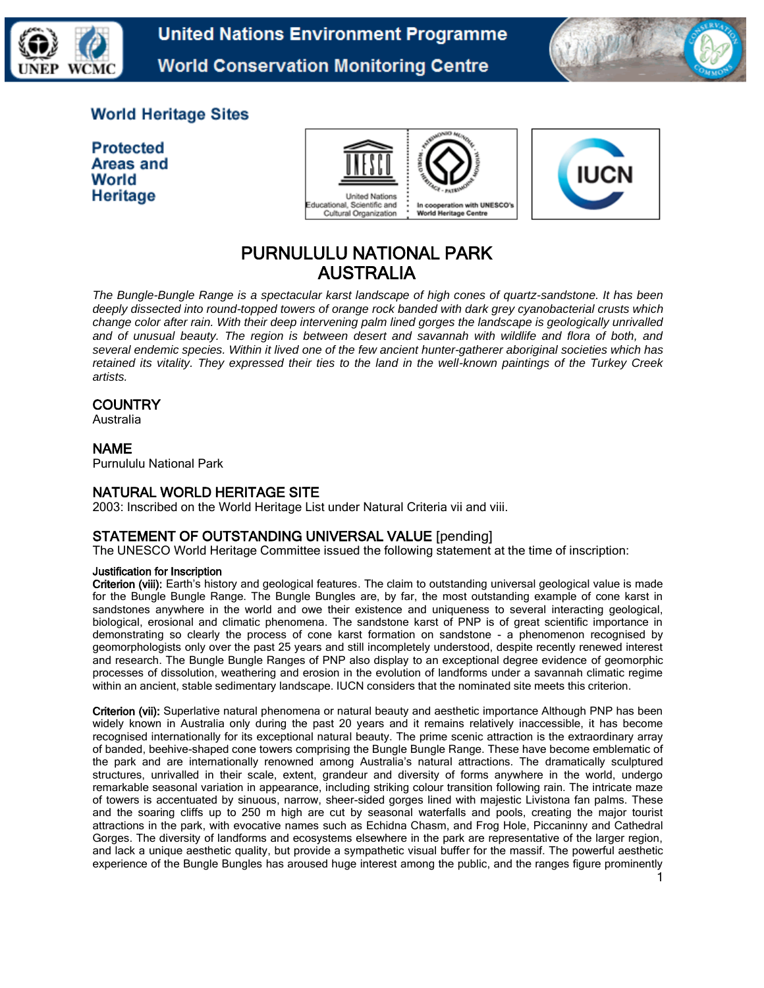

**United Nations Environment Programme World Conservation Monitoring Centre** 



## **World Heritage Sites**

**Protected** Areas and World Heritage





# PURNULULU NATIONAL PARK AUSTRALIA

*The Bungle-Bungle Range is a spectacular karst landscape of high cones of quartz-sandstone. It has been deeply dissected into round-topped towers of orange rock banded with dark grey cyanobacterial crusts which change color after rain. With their deep intervening palm lined gorges the landscape is geologically unrivalled and of unusual beauty. The region is between desert and savannah with wildlife and flora of both, and several endemic species. Within it lived one of the few ancient hunter-gatherer aboriginal societies which has retained its vitality. They expressed their ties to the land in the well-known paintings of the Turkey Creek artists.*

## **COUNTRY**

Australia

## NAME

Purnululu National Park

#### NATURAL WORLD HERITAGE SITE

2003: Inscribed on the World Heritage List under Natural Criteria vii and viii.

## STATEMENT OF OUTSTANDING UNIVERSAL VALUE [pending]

The UNESCO World Heritage Committee issued the following statement at the time of inscription:

#### Justification for Inscription

Criterion (viii): Earth's history and geological features. The claim to outstanding universal geological value is made for the Bungle Bungle Range. The Bungle Bungles are, by far, the most outstanding example of cone karst in sandstones anywhere in the world and owe their existence and uniqueness to several interacting geological, biological, erosional and climatic phenomena. The sandstone karst of PNP is of great scientific importance in demonstrating so clearly the process of cone karst formation on sandstone - a phenomenon recognised by geomorphologists only over the past 25 years and still incompletely understood, despite recently renewed interest and research. The Bungle Bungle Ranges of PNP also display to an exceptional degree evidence of geomorphic processes of dissolution, weathering and erosion in the evolution of landforms under a savannah climatic regime within an ancient, stable sedimentary landscape. IUCN considers that the nominated site meets this criterion.

Criterion (vii): Superlative natural phenomena or natural beauty and aesthetic importance Although PNP has been widely known in Australia only during the past 20 years and it remains relatively inaccessible, it has become recognised internationally for its exceptional natural beauty. The prime scenic attraction is the extraordinary array of banded, beehive-shaped cone towers comprising the Bungle Bungle Range. These have become emblematic of the park and are internationally renowned among Australia's natural attractions. The dramatically sculptured structures, unrivalled in their scale, extent, grandeur and diversity of forms anywhere in the world, undergo remarkable seasonal variation in appearance, including striking colour transition following rain. The intricate maze of towers is accentuated by sinuous, narrow, sheer-sided gorges lined with majestic Livistona fan palms. These and the soaring cliffs up to 250 m high are cut by seasonal waterfalls and pools, creating the major tourist attractions in the park, with evocative names such as Echidna Chasm, and Frog Hole, Piccaninny and Cathedral Gorges. The diversity of landforms and ecosystems elsewhere in the park are representative of the larger region, and lack a unique aesthetic quality, but provide a sympathetic visual buffer for the massif. The powerful aesthetic experience of the Bungle Bungles has aroused huge interest among the public, and the ranges figure prominently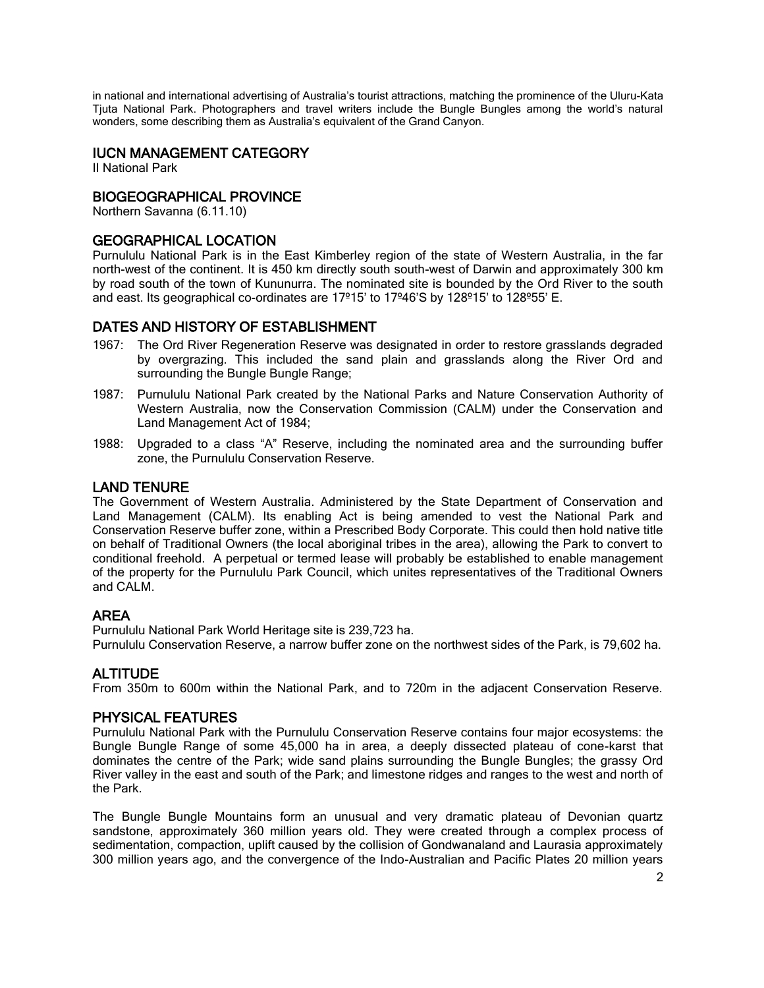in national and international advertising of Australia's tourist attractions, matching the prominence of the Uluru-Kata Tjuta National Park. Photographers and travel writers include the Bungle Bungles among the world's natural wonders, some describing them as Australia's equivalent of the Grand Canyon.

## IUCN MANAGEMENT CATEGORY

II National Park

## BIOGEOGRAPHICAL PROVINCE

Northern Savanna (6.11.10)

#### GEOGRAPHICAL LOCATION

Purnululu National Park is in the East Kimberley region of the state of Western Australia, in the far north-west of the continent. It is 450 km directly south south-west of Darwin and approximately 300 km by road south of the town of Kununurra. The nominated site is bounded by the Ord River to the south and east. Its geographical co-ordinates are 17º15' to 17º46'S by 128º15' to 128º55' E.

#### DATES AND HISTORY OF ESTABLISHMENT

- 1967: The Ord River Regeneration Reserve was designated in order to restore grasslands degraded by overgrazing. This included the sand plain and grasslands along the River Ord and surrounding the Bungle Bungle Range;
- 1987: Purnululu National Park created by the National Parks and Nature Conservation Authority of Western Australia, now the Conservation Commission (CALM) under the Conservation and Land Management Act of 1984;
- 1988: Upgraded to a class "A" Reserve, including the nominated area and the surrounding buffer zone, the Purnululu Conservation Reserve.

#### LAND TENURE

The Government of Western Australia. Administered by the State Department of Conservation and Land Management (CALM). Its enabling Act is being amended to vest the National Park and Conservation Reserve buffer zone, within a Prescribed Body Corporate. This could then hold native title on behalf of Traditional Owners (the local aboriginal tribes in the area), allowing the Park to convert to conditional freehold. A perpetual or termed lease will probably be established to enable management of the property for the Purnululu Park Council, which unites representatives of the Traditional Owners and CALM.

#### AREA

Purnululu National Park World Heritage site is 239,723 ha. Purnululu Conservation Reserve, a narrow buffer zone on the northwest sides of the Park, is 79,602 ha.

#### ALTITUDE

From 350m to 600m within the National Park, and to 720m in the adjacent Conservation Reserve.

#### PHYSICAL FEATURES

Purnululu National Park with the Purnululu Conservation Reserve contains four major ecosystems: the Bungle Bungle Range of some 45,000 ha in area, a deeply dissected plateau of cone-karst that dominates the centre of the Park; wide sand plains surrounding the Bungle Bungles; the grassy Ord River valley in the east and south of the Park; and limestone ridges and ranges to the west and north of the Park.

The Bungle Bungle Mountains form an unusual and very dramatic plateau of Devonian quartz sandstone, approximately 360 million years old. They were created through a complex process of sedimentation, compaction, uplift caused by the collision of Gondwanaland and Laurasia approximately 300 million years ago, and the convergence of the Indo-Australian and Pacific Plates 20 million years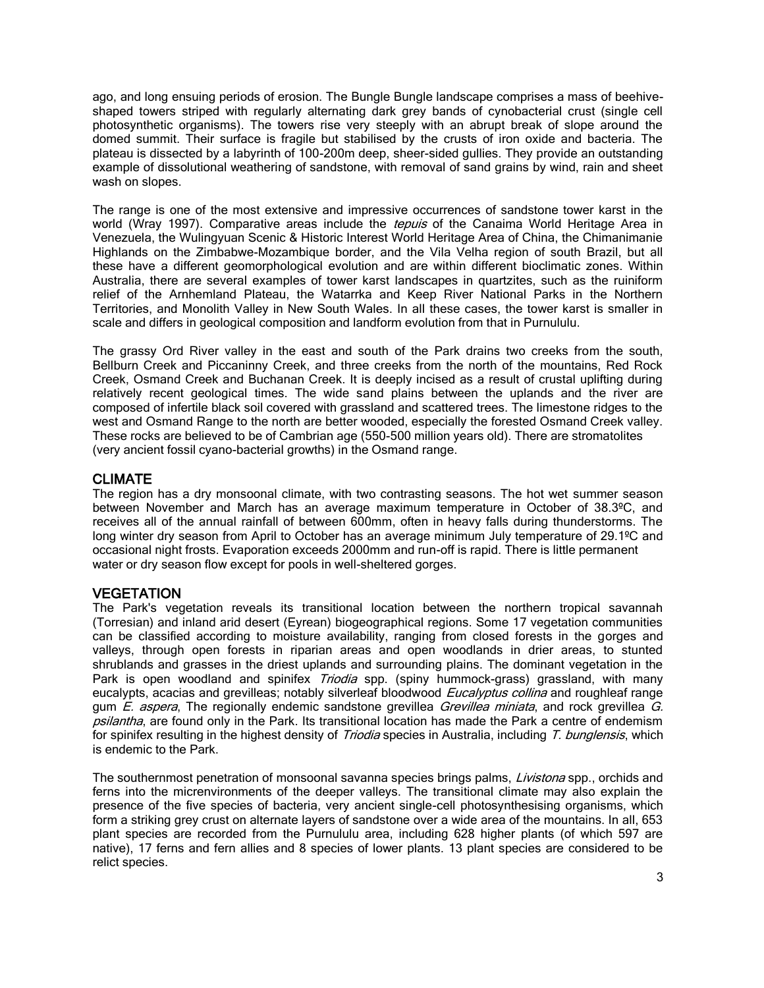ago, and long ensuing periods of erosion. The Bungle Bungle landscape comprises a mass of beehiveshaped towers striped with regularly alternating dark grey bands of cynobacterial crust (single cell photosynthetic organisms). The towers rise very steeply with an abrupt break of slope around the domed summit. Their surface is fragile but stabilised by the crusts of iron oxide and bacteria. The plateau is dissected by a labyrinth of 100-200m deep, sheer-sided gullies. They provide an outstanding example of dissolutional weathering of sandstone, with removal of sand grains by wind, rain and sheet wash on slopes.

The range is one of the most extensive and impressive occurrences of sandstone tower karst in the world (Wray 1997). Comparative areas include the *tepuis* of the Canaima World Heritage Area in Venezuela, the Wulingyuan Scenic & Historic Interest World Heritage Area of China, the Chimanimanie Highlands on the Zimbabwe-Mozambique border, and the Vila Velha region of south Brazil, but all these have a different geomorphological evolution and are within different bioclimatic zones. Within Australia, there are several examples of tower karst landscapes in quartzites, such as the ruiniform relief of the Arnhemland Plateau, the Watarrka and Keep River National Parks in the Northern Territories, and Monolith Valley in New South Wales. In all these cases, the tower karst is smaller in scale and differs in geological composition and landform evolution from that in Purnululu.

The grassy Ord River valley in the east and south of the Park drains two creeks from the south, Bellburn Creek and Piccaninny Creek, and three creeks from the north of the mountains, Red Rock Creek, Osmand Creek and Buchanan Creek. It is deeply incised as a result of crustal uplifting during relatively recent geological times. The wide sand plains between the uplands and the river are composed of infertile black soil covered with grassland and scattered trees. The limestone ridges to the west and Osmand Range to the north are better wooded, especially the forested Osmand Creek valley. These rocks are believed to be of Cambrian age (550-500 million years old). There are stromatolites (very ancient fossil cyano-bacterial growths) in the Osmand range.

#### CLIMATE

The region has a dry monsoonal climate, with two contrasting seasons. The hot wet summer season between November and March has an average maximum temperature in October of 38.3ºC, and receives all of the annual rainfall of between 600mm, often in heavy falls during thunderstorms. The long winter dry season from April to October has an average minimum July temperature of 29.1ºC and occasional night frosts. Evaporation exceeds 2000mm and run-off is rapid. There is little permanent water or dry season flow except for pools in well-sheltered gorges.

#### VEGETATION

The Park's vegetation reveals its transitional location between the northern tropical savannah (Torresian) and inland arid desert (Eyrean) biogeographical regions. Some 17 vegetation communities can be classified according to moisture availability, ranging from closed forests in the gorges and valleys, through open forests in riparian areas and open woodlands in drier areas, to stunted shrublands and grasses in the driest uplands and surrounding plains. The dominant vegetation in the Park is open woodland and spinifex Triodia spp. (spiny hummock-grass) grassland, with many eucalypts, acacias and grevilleas; notably silverleaf bloodwood Eucalyptus collina and roughleaf range gum  $E$ . aspera, The regionally endemic sandstone grevillea *Grevillea miniata*, and rock grevillea  $G$ . psilantha, are found only in the Park. Its transitional location has made the Park a centre of endemism for spinifex resulting in the highest density of Triodia species in Australia, including T. bunglensis, which is endemic to the Park.

The southernmost penetration of monsoonal savanna species brings palms, Livistona spp., orchids and ferns into the micrenvironments of the deeper valleys. The transitional climate may also explain the presence of the five species of bacteria, very ancient single-cell photosynthesising organisms, which form a striking grey crust on alternate layers of sandstone over a wide area of the mountains. In all, 653 plant species are recorded from the Purnululu area, including 628 higher plants (of which 597 are native), 17 ferns and fern allies and 8 species of lower plants. 13 plant species are considered to be relict species.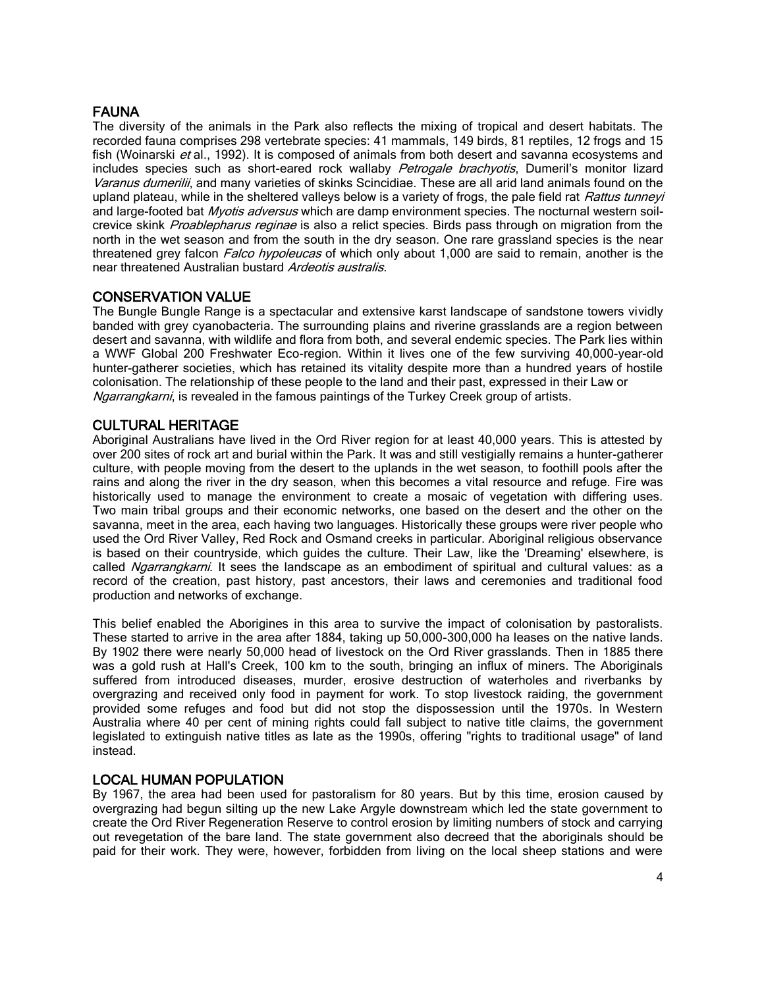## **FAUNA**

The diversity of the animals in the Park also reflects the mixing of tropical and desert habitats. The recorded fauna comprises 298 vertebrate species: 41 mammals, 149 birds, 81 reptiles, 12 frogs and 15 fish (Woinarski et al., 1992). It is composed of animals from both desert and savanna ecosystems and includes species such as short-eared rock wallaby Petrogale brachyotis, Dumeril's monitor lizard Varanus dumerilii, and many varieties of skinks Scincidiae. These are all arid land animals found on the upland plateau, while in the sheltered valleys below is a variety of frogs, the pale field rat Rattus tunneyi and large-footed bat *Myotis adversus* which are damp environment species. The nocturnal western soilcrevice skink Proablepharus reginae is also a relict species. Birds pass through on migration from the north in the wet season and from the south in the dry season. One rare grassland species is the near threatened grey falcon Falco hypoleucas of which only about 1,000 are said to remain, another is the near threatened Australian bustard Ardeotis australis.

## CONSERVATION VALUE

The Bungle Bungle Range is a spectacular and extensive karst landscape of sandstone towers vividly banded with grey cyanobacteria. The surrounding plains and riverine grasslands are a region between desert and savanna, with wildlife and flora from both, and several endemic species. The Park lies within a WWF Global 200 Freshwater Eco-region. Within it lives one of the few surviving 40,000-year-old hunter-gatherer societies, which has retained its vitality despite more than a hundred years of hostile colonisation. The relationship of these people to the land and their past, expressed in their Law or Ngarrangkarni, is revealed in the famous paintings of the Turkey Creek group of artists.

## CULTURAL HERITAGE

Aboriginal Australians have lived in the Ord River region for at least 40,000 years. This is attested by over 200 sites of rock art and burial within the Park. It was and still vestigially remains a hunter-gatherer culture, with people moving from the desert to the uplands in the wet season, to foothill pools after the rains and along the river in the dry season, when this becomes a vital resource and refuge. Fire was historically used to manage the environment to create a mosaic of vegetation with differing uses. Two main tribal groups and their economic networks, one based on the desert and the other on the savanna, meet in the area, each having two languages. Historically these groups were river people who used the Ord River Valley, Red Rock and Osmand creeks in particular. Aboriginal religious observance is based on their countryside, which guides the culture. Their Law, like the 'Dreaming' elsewhere, is called Ngarrangkarni. It sees the landscape as an embodiment of spiritual and cultural values: as a record of the creation, past history, past ancestors, their laws and ceremonies and traditional food production and networks of exchange.

This belief enabled the Aborigines in this area to survive the impact of colonisation by pastoralists. These started to arrive in the area after 1884, taking up 50,000-300,000 ha leases on the native lands. By 1902 there were nearly 50,000 head of livestock on the Ord River grasslands. Then in 1885 there was a gold rush at Hall's Creek, 100 km to the south, bringing an influx of miners. The Aboriginals suffered from introduced diseases, murder, erosive destruction of waterholes and riverbanks by overgrazing and received only food in payment for work. To stop livestock raiding, the government provided some refuges and food but did not stop the dispossession until the 1970s. In Western Australia where 40 per cent of mining rights could fall subject to native title claims, the government legislated to extinguish native titles as late as the 1990s, offering "rights to traditional usage" of land instead.

## LOCAL HUMAN POPULATION

By 1967, the area had been used for pastoralism for 80 years. But by this time, erosion caused by overgrazing had begun silting up the new Lake Argyle downstream which led the state government to create the Ord River Regeneration Reserve to control erosion by limiting numbers of stock and carrying out revegetation of the bare land. The state government also decreed that the aboriginals should be paid for their work. They were, however, forbidden from living on the local sheep stations and were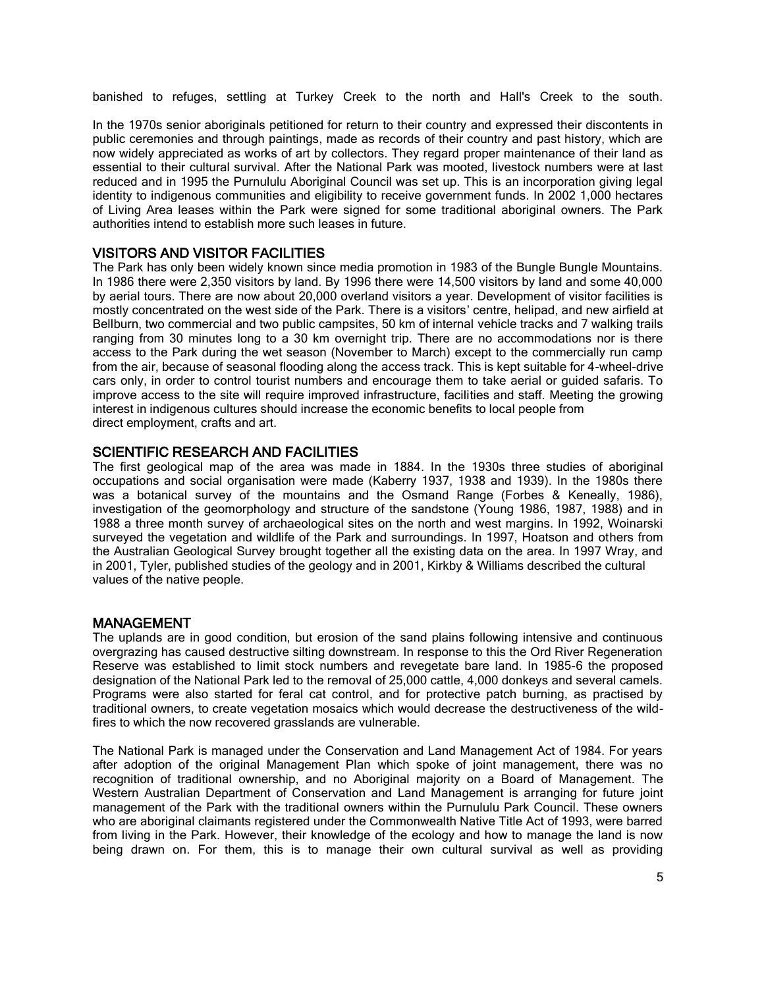banished to refuges, settling at Turkey Creek to the north and Hall's Creek to the south.

In the 1970s senior aboriginals petitioned for return to their country and expressed their discontents in public ceremonies and through paintings, made as records of their country and past history, which are now widely appreciated as works of art by collectors. They regard proper maintenance of their land as essential to their cultural survival. After the National Park was mooted, livestock numbers were at last reduced and in 1995 the Purnululu Aboriginal Council was set up. This is an incorporation giving legal identity to indigenous communities and eligibility to receive government funds. In 2002 1,000 hectares of Living Area leases within the Park were signed for some traditional aboriginal owners. The Park authorities intend to establish more such leases in future.

#### VISITORS AND VISITOR FACILITIES

The Park has only been widely known since media promotion in 1983 of the Bungle Bungle Mountains. In 1986 there were 2,350 visitors by land. By 1996 there were 14,500 visitors by land and some 40,000 by aerial tours. There are now about 20,000 overland visitors a year. Development of visitor facilities is mostly concentrated on the west side of the Park. There is a visitors' centre, helipad, and new airfield at Bellburn, two commercial and two public campsites, 50 km of internal vehicle tracks and 7 walking trails ranging from 30 minutes long to a 30 km overnight trip. There are no accommodations nor is there access to the Park during the wet season (November to March) except to the commercially run camp from the air, because of seasonal flooding along the access track. This is kept suitable for 4-wheel-drive cars only, in order to control tourist numbers and encourage them to take aerial or guided safaris. To improve access to the site will require improved infrastructure, facilities and staff. Meeting the growing interest in indigenous cultures should increase the economic benefits to local people from direct employment, crafts and art.

#### SCIENTIFIC RESEARCH AND FACILITIES

The first geological map of the area was made in 1884. In the 1930s three studies of aboriginal occupations and social organisation were made (Kaberry 1937, 1938 and 1939). In the 1980s there was a botanical survey of the mountains and the Osmand Range (Forbes & Keneally, 1986), investigation of the geomorphology and structure of the sandstone (Young 1986, 1987, 1988) and in 1988 a three month survey of archaeological sites on the north and west margins. In 1992, Woinarski surveyed the vegetation and wildlife of the Park and surroundings. In 1997, Hoatson and others from the Australian Geological Survey brought together all the existing data on the area. In 1997 Wray, and in 2001, Tyler, published studies of the geology and in 2001, Kirkby & Williams described the cultural values of the native people.

#### MANAGEMENT

The uplands are in good condition, but erosion of the sand plains following intensive and continuous overgrazing has caused destructive silting downstream. In response to this the Ord River Regeneration Reserve was established to limit stock numbers and revegetate bare land. In 1985-6 the proposed designation of the National Park led to the removal of 25,000 cattle, 4,000 donkeys and several camels. Programs were also started for feral cat control, and for protective patch burning, as practised by traditional owners, to create vegetation mosaics which would decrease the destructiveness of the wildfires to which the now recovered grasslands are vulnerable.

The National Park is managed under the Conservation and Land Management Act of 1984. For years after adoption of the original Management Plan which spoke of joint management, there was no recognition of traditional ownership, and no Aboriginal majority on a Board of Management. The Western Australian Department of Conservation and Land Management is arranging for future joint management of the Park with the traditional owners within the Purnululu Park Council. These owners who are aboriginal claimants registered under the Commonwealth Native Title Act of 1993, were barred from living in the Park. However, their knowledge of the ecology and how to manage the land is now being drawn on. For them, this is to manage their own cultural survival as well as providing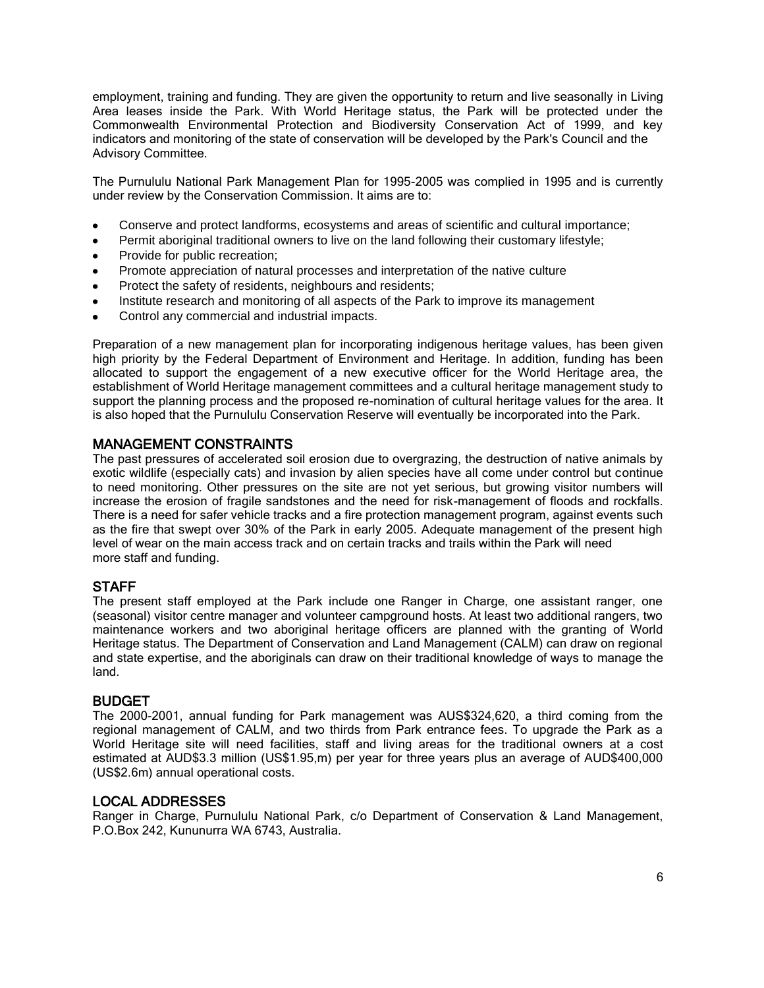employment, training and funding. They are given the opportunity to return and live seasonally in Living Area leases inside the Park. With World Heritage status, the Park will be protected under the Commonwealth Environmental Protection and Biodiversity Conservation Act of 1999, and key indicators and monitoring of the state of conservation will be developed by the Park's Council and the Advisory Committee.

The Purnululu National Park Management Plan for 1995-2005 was complied in 1995 and is currently under review by the Conservation Commission. It aims are to:

- Conserve and protect landforms, ecosystems and areas of scientific and cultural importance;
- Permit aboriginal traditional owners to live on the land following their customary lifestyle;
- Provide for public recreation;  $\bullet$
- Promote appreciation of natural processes and interpretation of the native culture
- Protect the safety of residents, neighbours and residents;
- Institute research and monitoring of all aspects of the Park to improve its management
- Control any commercial and industrial impacts.

Preparation of a new management plan for incorporating indigenous heritage values, has been given high priority by the Federal Department of Environment and Heritage. In addition, funding has been allocated to support the engagement of a new executive officer for the World Heritage area, the establishment of World Heritage management committees and a cultural heritage management study to support the planning process and the proposed re-nomination of cultural heritage values for the area. It is also hoped that the Purnululu Conservation Reserve will eventually be incorporated into the Park.

## MANAGEMENT CONSTRAINTS

The past pressures of accelerated soil erosion due to overgrazing, the destruction of native animals by exotic wildlife (especially cats) and invasion by alien species have all come under control but continue to need monitoring. Other pressures on the site are not yet serious, but growing visitor numbers will increase the erosion of fragile sandstones and the need for risk-management of floods and rockfalls. There is a need for safer vehicle tracks and a fire protection management program, against events such as the fire that swept over 30% of the Park in early 2005. Adequate management of the present high level of wear on the main access track and on certain tracks and trails within the Park will need more staff and funding.

#### **STAFF**

The present staff employed at the Park include one Ranger in Charge, one assistant ranger, one (seasonal) visitor centre manager and volunteer campground hosts. At least two additional rangers, two maintenance workers and two aboriginal heritage officers are planned with the granting of World Heritage status. The Department of Conservation and Land Management (CALM) can draw on regional and state expertise, and the aboriginals can draw on their traditional knowledge of ways to manage the land.

#### BUDGET

The 2000-2001, annual funding for Park management was AUS\$324,620, a third coming from the regional management of CALM, and two thirds from Park entrance fees. To upgrade the Park as a World Heritage site will need facilities, staff and living areas for the traditional owners at a cost estimated at AUD\$3.3 million (US\$1.95,m) per year for three years plus an average of AUD\$400,000 (US\$2.6m) annual operational costs.

#### LOCAL ADDRESSES

Ranger in Charge, Purnululu National Park, c/o Department of Conservation & Land Management, P.O.Box 242, Kununurra WA 6743, Australia.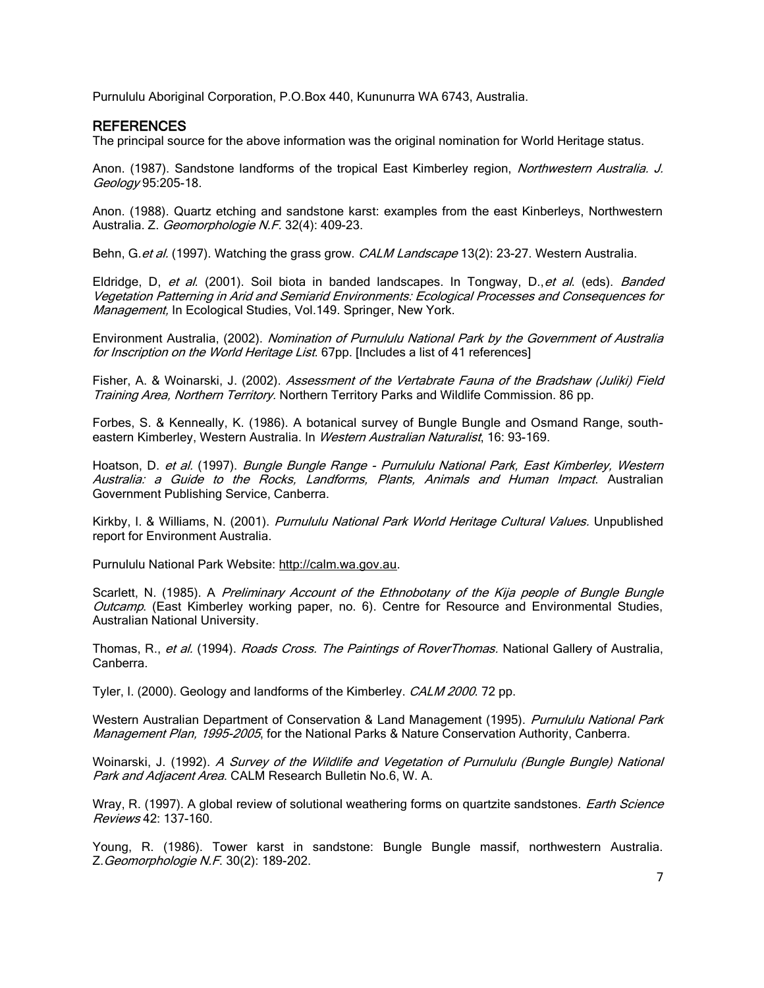Purnululu Aboriginal Corporation, P.O.Box 440, Kununurra WA 6743, Australia.

#### **REFERENCES**

The principal source for the above information was the original nomination for World Heritage status.

Anon. (1987). Sandstone landforms of the tropical East Kimberley region, Northwestern Australia. J. Geology 95:205-18.

Anon. (1988). Quartz etching and sandstone karst: examples from the east Kinberleys, Northwestern Australia. Z. Geomorphologie N.F. 32(4): 409-23.

Behn, G. et al. (1997). Watching the grass grow. CALM Landscape 13(2): 23-27. Western Australia.

Eldridge, D, et al. (2001). Soil biota in banded landscapes. In Tongway, D., et al. (eds). Banded Vegetation Patterning in Arid and Semiarid Environments: Ecological Processes and Consequences for Management, In Ecological Studies, Vol.149. Springer, New York.

Environment Australia, (2002). Nomination of Purnululu National Park by the Government of Australia for Inscription on the World Heritage List. 67pp. [Includes a list of 41 references]

Fisher, A. & Woinarski, J. (2002). Assessment of the Vertabrate Fauna of the Bradshaw (Juliki) Field Training Area, Northern Territory. Northern Territory Parks and Wildlife Commission. 86 pp.

Forbes, S. & Kenneally, K. (1986). A botanical survey of Bungle Bungle and Osmand Range, southeastern Kimberley, Western Australia. In Western Australian Naturalist, 16: 93-169.

Hoatson, D. et al. (1997). Bungle Bungle Range - Purnululu National Park, East Kimberley, Western Australia: a Guide to the Rocks, Landforms, Plants, Animals and Human Impact. Australian Government Publishing Service, Canberra.

Kirkby, I. & Williams, N. (2001). Purnululu National Park World Heritage Cultural Values. Unpublished report for Environment Australia.

Purnululu National Park Website: [http://calm.wa.gov.au.](http://www.calm.wa.gov.au/)

Scarlett, N. (1985). A Preliminary Account of the Ethnobotany of the Kija people of Bungle Bungle Outcamp. (East Kimberley working paper, no. 6). Centre for Resource and Environmental Studies, Australian National University.

Thomas, R., et al. (1994). Roads Cross. The Paintings of RoverThomas. National Gallery of Australia, Canberra.

Tyler, I. (2000). Geology and landforms of the Kimberley. CALM 2000. 72 pp.

Western Australian Department of Conservation & Land Management (1995). Purnululu National Park Management Plan, 1995-2005, for the National Parks & Nature Conservation Authority, Canberra.

Woinarski, J. (1992). A Survey of the Wildlife and Vegetation of Purnululu (Bungle Bungle) National Park and Adjacent Area. CALM Research Bulletin No.6, W. A.

Wray, R. (1997). A global review of solutional weathering forms on quartzite sandstones. *Earth Science* Reviews 42: 137-160.

Young, R. (1986). Tower karst in sandstone: Bungle Bungle massif, northwestern Australia. Z.Geomorphologie N.F. 30(2): 189-202.